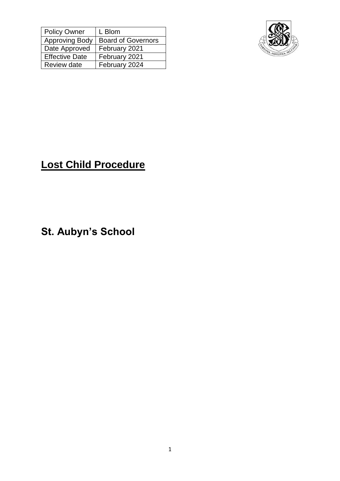| <b>Policy Owner</b>   | L Blom                    |
|-----------------------|---------------------------|
| <b>Approving Body</b> | <b>Board of Governors</b> |
| Date Approved         | February 2021             |
| Effective Date        | February 2021             |
| Review date           | February 2024             |



## **Lost Child Procedure**

**St. Aubyn's School**